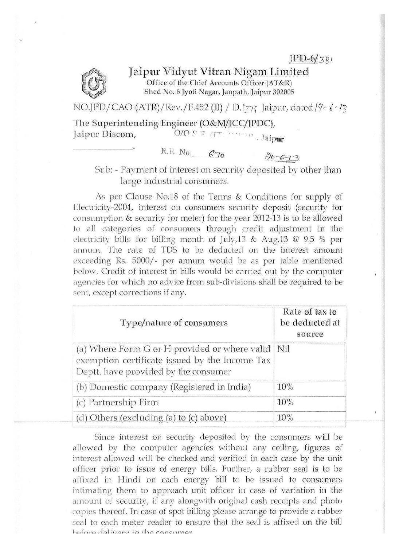$IPD-6/381$ 



Jaipur Vidyut Vitran Nigam Limited Office of the Chief Accounts Officer (AT&R) Shed No. 6 Jyoti Nagar, Janpath, Jaipur 302005

NO.JPD/CAO (ATR)/Rev./F.452 (II) / D.  $\overline{z}$ y, Jaipur, dated/9- $\frac{1}{2}$ ./3

The Superintending Engineer (O&Nific.C/JRDC):, Jaipur Discom,

R.R. No. 670

 $30 - 6 - 13$ Sub: - Payment of interest on security deposited by other than. large industrial consumers.

As per Clause No.18 of the Terms & Conditions for supply of Electricity-2004, interest on consumers security deposit (security for consumption & security for meter) for the year 2012-13 is to be allowed to all categories of Consumers through credit adjustment in the electricity bills for billing month of July,  $13 \& \text{Aug.13} \& 9.5 \%$  per annum. The rate of TDS to be deducted on the interest amount exceeding Rs.  $5000/$ - per annum would be as per table mentioned below. Credit of interest in bills would be carried out by the computer agencies for which no advice from sub-divisions shall be required to be sent, except corrections if any.

| Type/nature of consumers                                                                                                                      | Rate of tax to<br>be deducted at<br>source |
|-----------------------------------------------------------------------------------------------------------------------------------------------|--------------------------------------------|
| (a) Where Form G or H provided or where valid   Nil<br>exemption certificate issued by the Income Tax<br>Deptt. have provided by the consumer |                                            |
| (b) Domestic company (Registered in India)                                                                                                    | 10%                                        |
| (c) Partnership Firm                                                                                                                          | 10%                                        |
| (d) Others (excluding (a) to (c) above)                                                                                                       | 10%                                        |

Since interest on security deposited by the consumers will be allowed by the computer agencies without any ceiling, figures of interest allowed Will be checked and verified in each case by the unit officer prior to issue of energy bills. Further, a rubber seal is to be affixed in Hindi on each energy bill to be issued to consumers intimating them to approach unit officer in case of variation in the amount of security, if any alongwith original cash receipts and photo copies thereof. In case of spot billing please arrange to provide a rubber seal to each meter reader to ensure that the seal is affixed on the bill **r** *if Av. rA* **;"17,7.11. 1.1"**